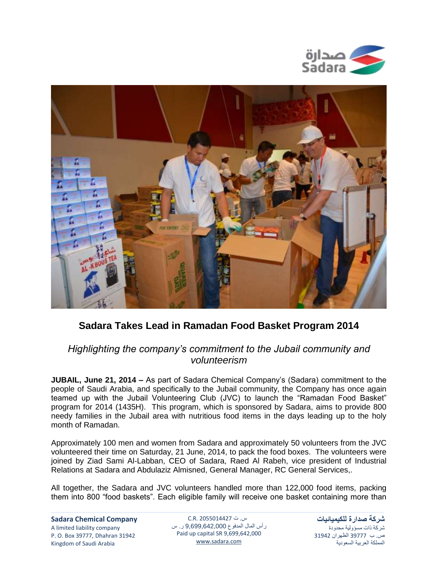



## **Sadara Takes Lead in Ramadan Food Basket Program 2014**

## *Highlighting the company's commitment to the Jubail community and volunteerism*

**JUBAIL, June 21, 2014 –** As part of Sadara Chemical Company's (Sadara) commitment to the people of Saudi Arabia, and specifically to the Jubail community, the Company has once again teamed up with the Jubail Volunteering Club (JVC) to launch the "Ramadan Food Basket" program for 2014 (1435H). This program, which is sponsored by Sadara, aims to provide 800 needy families in the Jubail area with nutritious food items in the days leading up to the holy month of Ramadan.

Approximately 100 men and women from Sadara and approximately 50 volunteers from the JVC volunteered their time on Saturday, 21 June, 2014, to pack the food boxes. The volunteers were joined by Ziad Sami Al-Labban, CEO of Sadara, Raed Al Rabeh, vice president of Industrial Relations at Sadara and Abdulaziz Almisned, General Manager, RC General Services,.

All together, the Sadara and JVC volunteers handled more than 122,000 food items, packing them into 800 "food baskets". Each eligible family will receive one basket containing more than

## **Sadara Chemical Company** A limited liability company P. O. Box 39777, Dhahran 31942 Kingdom of Saudi Arabia

س. ت C.R. 2055014427 رأس المال المدفوع 9,699,642,000 ر. س Paid up capital SR 9,699,642,000 [www.sadara.com](http://www.sadara.com/)

**شركة صدارة للكيميائيات** شركة ذات مسؤولية محدودة ص. ب 77333 الظهران 74713 المملكة العربية السعودية